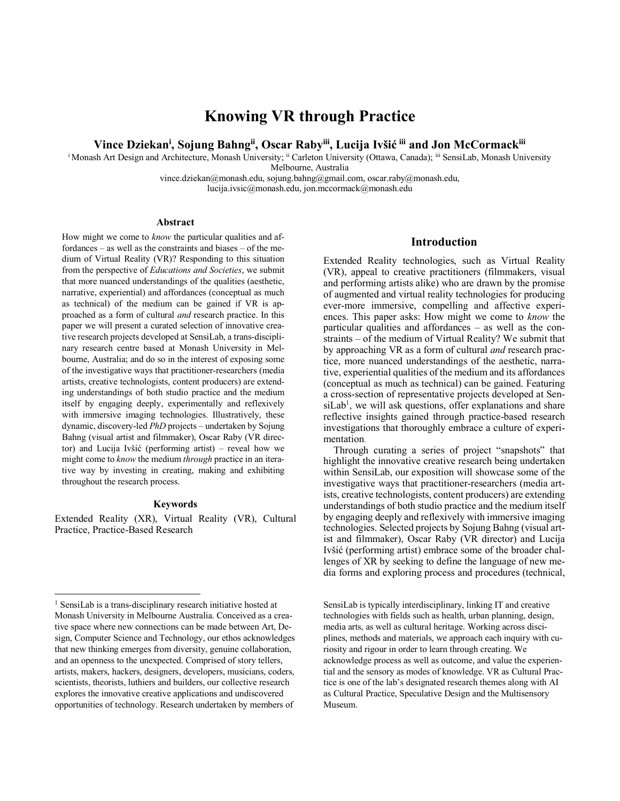# **Knowing VR through Practice**

**Vince Dziekani , Sojung Bahngii, Oscar Rabyiii, Lucija Ivšić iii and Jon McCormackiii** 

<sup>i</sup> Monash Art Design and Architecture, Monash University; <sup>ii</sup> Carleton University (Ottawa, Canada); <sup>iii</sup> SensiLab, Monash University

Melbourne, Australia

vince.dziekan@monash.edu, sojung.bahng@gmail.com, oscar.raby@monash.edu, lucija.ivsic@monash.edu, jon.mccormack@monash.edu

#### **Abstract**

How might we come to *know* the particular qualities and affordances – as well as the constraints and biases – of the medium of Virtual Reality (VR)? Responding to this situation from the perspective of *Educations and Societies*, we submit that more nuanced understandings of the qualities (aesthetic, narrative, experiential) and affordances (conceptual as much as technical) of the medium can be gained if VR is approached as a form of cultural *and* research practice. In this paper we will present a curated selection of innovative creative research projects developed at SensiLab, a trans-disciplinary research centre based at Monash University in Melbourne, Australia; and do so in the interest of exposing some of the investigative ways that practitioner-researchers (media artists, creative technologists, content producers) are extending understandings of both studio practice and the medium itself by engaging deeply, experimentally and reflexively with immersive imaging technologies. Illustratively, these dynamic, discovery-led *PhD* projects – undertaken by Sojung Bahng (visual artist and filmmaker), Oscar Raby (VR director) and Lucija Ivšić (performing artist) – reveal how we might come to *know* the medium *through* practice in an iterative way by investing in creating, making and exhibiting throughout the research process.

#### **Keywords**

Extended Reality (XR), Virtual Reality (VR), Cultural Practice, Practice-Based Research

# **Introduction**

Extended Reality technologies, such as Virtual Reality (VR), appeal to creative practitioners (filmmakers, visual and performing artists alike) who are drawn by the promise of augmented and virtual reality technologies for producing ever-more immersive, compelling and affective experiences. This paper asks: How might we come to *know* the particular qualities and affordances – as well as the constraints – of the medium of Virtual Reality? We submit that by approaching VR as a form of cultural *and* research practice, more nuanced understandings of the aesthetic, narrative, experiential qualities of the medium and its affordances (conceptual as much as technical) can be gained. Featuring a cross-section of representative projects developed at Sen $siLab<sup>1</sup>$ , we will ask questions, offer explanations and share reflective insights gained through practice-based research investigations that thoroughly embrace a culture of experimentation.

Through curating a series of project "snapshots" that highlight the innovative creative research being undertaken within SensiLab, our exposition will showcase some of the investigative ways that practitioner-researchers (media artists, creative technologists, content producers) are extending understandings of both studio practice and the medium itself by engaging deeply and reflexively with immersive imaging technologies. Selected projects by Sojung Bahng (visual artist and filmmaker), Oscar Raby (VR director) and Lucija Ivšić (performing artist) embrace some of the broader challenges of XR by seeking to define the language of new media forms and exploring process and procedures (technical,

SensiLab is typically interdisciplinary, linking IT and creative technologies with fields such as health, urban planning, design, media arts, as well as cultural heritage. Working across disciplines, methods and materials, we approach each inquiry with curiosity and rigour in order to learn through creating. We acknowledge process as well as outcome, and value the experiential and the sensory as modes of knowledge. VR as Cultural Practice is one of the lab's designated research themes along with AI as Cultural Practice, Speculative Design and the Multisensory Museum.

 <sup>1</sup> SensiLab is a trans-disciplinary research initiative hosted at Monash University in Melbourne Australia. Conceived as a creative space where new connections can be made between Art, Design, Computer Science and Technology, our ethos acknowledges that new thinking emerges from diversity, genuine collaboration, and an openness to the unexpected. Comprised of story tellers, artists, makers, hackers, designers, developers, musicians, coders, scientists, theorists, luthiers and builders, our collective research explores the innovative creative applications and undiscovered opportunities of technology. Research undertaken by members of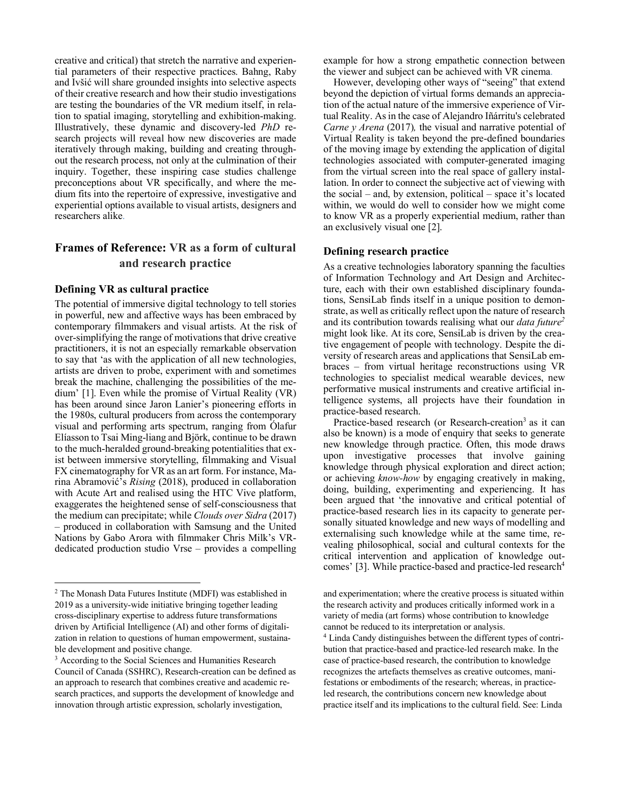creative and critical) that stretch the narrative and experiential parameters of their respective practices. Bahng, Raby and Ivšić will share grounded insights into selective aspects of their creative research and how their studio investigations are testing the boundaries of the VR medium itself, in relation to spatial imaging, storytelling and exhibition-making. Illustratively, these dynamic and discovery-led *PhD* research projects will reveal how new discoveries are made iteratively through making, building and creating throughout the research process, not only at the culmination of their inquiry. Together, these inspiring case studies challenge preconceptions about VR specifically, and where the medium fits into the repertoire of expressive, investigative and experiential options available to visual artists, designers and researchers alike.

# **Frames of Reference: VR as a form of cultural and research practice**

## **Defining VR as cultural practice**

The potential of immersive digital technology to tell stories in powerful, new and affective ways has been embraced by contemporary filmmakers and visual artists. At the risk of over-simplifying the range of motivations that drive creative practitioners, it is not an especially remarkable observation to say that 'as with the application of all new technologies, artists are driven to probe, experiment with and sometimes break the machine, challenging the possibilities of the medium' [1]. Even while the promise of Virtual Reality (VR) has been around since Jaron Lanier's pioneering efforts in the 1980s, cultural producers from across the contemporary visual and performing arts spectrum, ranging from Ólafur Elíasson to Tsai Ming-liang and Björk, continue to be drawn to the much-heralded ground-breaking potentialities that exist between immersive storytelling, filmmaking and Visual FX cinematography for VR as an art form. For instance, Marina Abramović's *Rising* (2018), produced in collaboration with Acute Art and realised using the HTC Vive platform, exaggerates the heightened sense of self-consciousness that the medium can precipitate; while *Clouds over Sidra* (2017) – produced in collaboration with Samsung and the United Nations by Gabo Arora with filmmaker Chris Milk's VRdedicated production studio Vrse – provides a compelling example for how a strong empathetic connection between the viewer and subject can be achieved with VR cinema.

However, developing other ways of "seeing" that extend beyond the depiction of virtual forms demands an appreciation of the actual nature of the immersive experience of Virtual Reality. As in the case of Alejandro Iñárritu's celebrated *Carne y Arena (2017)*, the visual and narrative potential of Virtual Reality is taken beyond the pre-defined boundaries of the moving image by extending the application of digital technologies associated with computer-generated imaging from the virtual screen into the real space of gallery installation. In order to connect the subjective act of viewing with the social – and, by extension, political – space it's located within, we would do well to consider how we might come to know VR as a properly experiential medium, rather than an exclusively visual one [2].

# **Defining research practice**

As a creative technologies laboratory spanning the faculties of Information Technology and Art Design and Architecture, each with their own established disciplinary foundations, SensiLab finds itself in a unique position to demonstrate, as well as critically reflect upon the nature of research and its contribution towards realising what our *data future2* might look like. At its core, SensiLab is driven by the creative engagement of people with technology. Despite the diversity of research areas and applications that SensiLab embraces – from virtual heritage reconstructions using VR technologies to specialist medical wearable devices, new performative musical instruments and creative artificial intelligence systems, all projects have their foundation in practice-based research.

Practice-based research (or Research-creation<sup>3</sup> as it can also be known) is a mode of enquiry that seeks to generate new knowledge through practice. Often, this mode draws upon investigative processes that involve gaining knowledge through physical exploration and direct action; or achieving *know-how* by engaging creatively in making, doing, building, experimenting and experiencing. It has been argued that 'the innovative and critical potential of practice-based research lies in its capacity to generate personally situated knowledge and new ways of modelling and externalising such knowledge while at the same time, revealing philosophical, social and cultural contexts for the critical intervention and application of knowledge outcomes' [3]. While practice-based and practice-led research<sup>4</sup>

 <sup>2</sup> The Monash Data Futures Institute (MDFI) was established in 2019 as a university-wide initiative bringing together leading cross-disciplinary expertise to address future transformations driven by Artificial Intelligence (AI) and other forms of digitalization in relation to questions of human empowerment, sustainable development and positive change.

<sup>&</sup>lt;sup>3</sup> According to the Social Sciences and Humanities Research Council of Canada (SSHRC), Research-creation can be defined as an approach to research that combines creative and academic research practices, and supports the development of knowledge and innovation through artistic expression, scholarly investigation,

and experimentation; where the creative process is situated within the research activity and produces critically informed work in a variety of media (art forms) whose contribution to knowledge cannot be reduced to its interpretation or analysis.

<sup>4</sup> Linda Candy distinguishes between the different types of contribution that practice-based and practice-led research make. In the case of practice-based research, the contribution to knowledge recognizes the artefacts themselves as creative outcomes, manifestations or embodiments of the research; whereas, in practiceled research, the contributions concern new knowledge about practice itself and its implications to the cultural field. See: Linda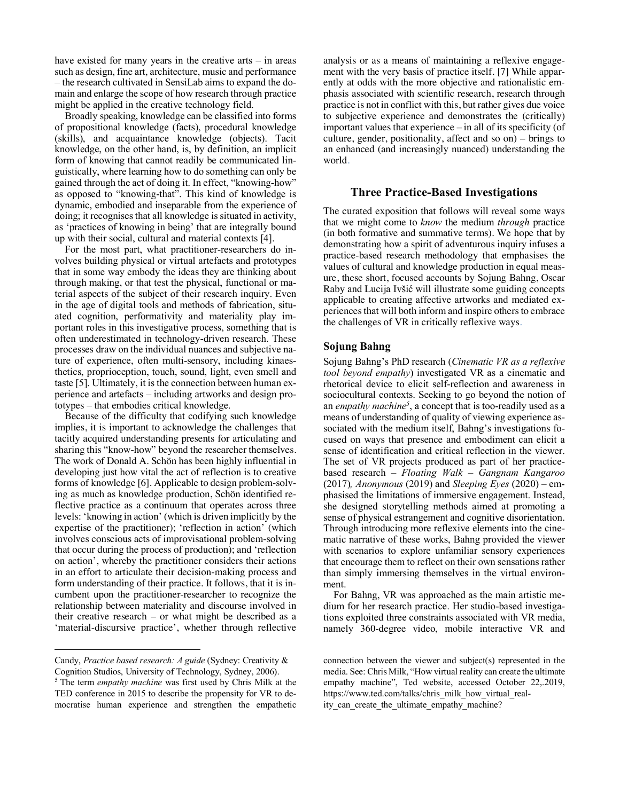have existed for many years in the creative arts – in areas such as design, fine art, architecture, music and performance – the research cultivated in SensiLab aims to expand the domain and enlarge the scope of how research through practice might be applied in the creative technology field.

Broadly speaking, knowledge can be classified into forms of propositional knowledge (facts), procedural knowledge (skills), and acquaintance knowledge (objects). Tacit knowledge, on the other hand, is, by definition, an implicit form of knowing that cannot readily be communicated linguistically, where learning how to do something can only be gained through the act of doing it. In effect, "knowing-how" as opposed to "knowing-that". This kind of knowledge is dynamic, embodied and inseparable from the experience of doing; it recognises that all knowledge is situated in activity, as 'practices of knowing in being' that are integrally bound up with their social, cultural and material contexts [4].

For the most part, what practitioner-researchers do involves building physical or virtual artefacts and prototypes that in some way embody the ideas they are thinking about through making, or that test the physical, functional or material aspects of the subject of their research inquiry. Even in the age of digital tools and methods of fabrication, situated cognition, performativity and materiality play important roles in this investigative process, something that is often underestimated in technology-driven research. These processes draw on the individual nuances and subjective nature of experience, often multi-sensory, including kinaesthetics, proprioception, touch, sound, light, even smell and taste [5]. Ultimately, it is the connection between human experience and artefacts – including artworks and design prototypes – that embodies critical knowledge.

Because of the difficulty that codifying such knowledge implies, it is important to acknowledge the challenges that tacitly acquired understanding presents for articulating and sharing this "know-how" beyond the researcher themselves. The work of Donald A. Schön has been highly influential in developing just how vital the act of reflection is to creative forms of knowledge [6]. Applicable to design problem-solving as much as knowledge production, Schön identified reflective practice as a continuum that operates across three levels: 'knowing in action' (which is driven implicitly by the expertise of the practitioner); 'reflection in action' (which involves conscious acts of improvisational problem-solving that occur during the process of production); and 'reflection on action', whereby the practitioner considers their actions in an effort to articulate their decision-making process and form understanding of their practice. It follows, that it is incumbent upon the practitioner-researcher to recognize the relationship between materiality and discourse involved in their creative research – or what might be described as a 'material-discursive practice', whether through reflective

 $\overline{a}$ 

analysis or as a means of maintaining a reflexive engagement with the very basis of practice itself. [7] While apparently at odds with the more objective and rationalistic emphasis associated with scientific research, research through practice is not in conflict with this, but rather gives due voice to subjective experience and demonstrates the (critically) important values that experience – in all of its specificity (of culture, gender, positionality, affect and so on) – brings to an enhanced (and increasingly nuanced) understanding the world.

#### **Three Practice-Based Investigations**

The curated exposition that follows will reveal some ways that we might come to *know* the medium *through* practice (in both formative and summative terms). We hope that by demonstrating how a spirit of adventurous inquiry infuses a practice-based research methodology that emphasises the values of cultural and knowledge production in equal measure, these short, focused accounts by Sojung Bahng, Oscar Raby and Lucija Ivšić will illustrate some guiding concepts applicable to creating affective artworks and mediated experiences that will both inform and inspire others to embrace the challenges of VR in critically reflexive ways.

#### **Sojung Bahng**

Sojung Bahng's PhD research (*Cinematic VR as a reflexive tool beyond empathy*) investigated VR as a cinematic and rhetorical device to elicit self-reflection and awareness in sociocultural contexts. Seeking to go beyond the notion of an *empathy machine*<sup>5</sup>, a concept that is too-readily used as a means of understanding of quality of viewing experience associated with the medium itself, Bahng's investigations focused on ways that presence and embodiment can elicit a sense of identification and critical reflection in the viewer. The set of VR projects produced as part of her practicebased research – *Floating Walk – Gangnam Kangaroo*  (2017)*, Anonymous* (2019) and *Sleeping Eyes* (2020) – emphasised the limitations of immersive engagement. Instead, she designed storytelling methods aimed at promoting a sense of physical estrangement and cognitive disorientation. Through introducing more reflexive elements into the cinematic narrative of these works, Bahng provided the viewer with scenarios to explore unfamiliar sensory experiences that encourage them to reflect on their own sensations rather than simply immersing themselves in the virtual environment.

For Bahng, VR was approached as the main artistic medium for her research practice. Her studio-based investigations exploited three constraints associated with VR media, namely 360-degree video, mobile interactive VR and

Candy, *Practice based research: A guide* (Sydney: Creativity & Cognition Studios, University of Technology, Sydney, 2006).

<sup>5</sup> The term *empathy machine* was first used by Chris Milk at the TED conference in 2015 to describe the propensity for VR to democratise human experience and strengthen the empathetic

connection between the viewer and subject(s) represented in the media. See: Chris Milk, "How virtual reality can create the ultimate empathy machine", Ted website, accessed October 22,.2019, https://www.ted.com/talks/chris\_milk\_how\_virtual\_reality can create the ultimate empathy machine?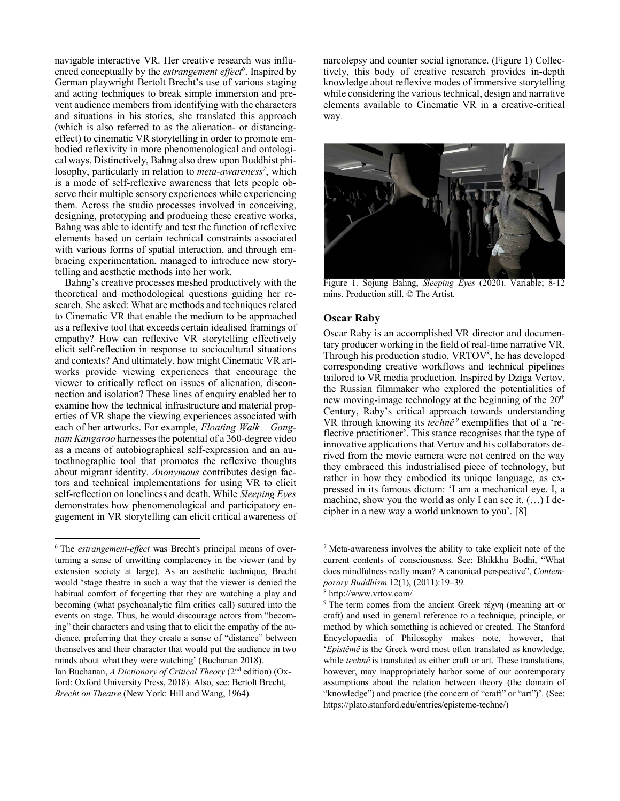navigable interactive VR. Her creative research was influenced conceptually by the *estrangement effect*<sup>6</sup>. Inspired by German playwright Bertolt Brecht's use of various staging and acting techniques to break simple immersion and prevent audience members from identifying with the characters and situations in his stories, she translated this approach (which is also referred to as the alienation- or distancingeffect) to cinematic VR storytelling in order to promote embodied reflexivity in more phenomenological and ontological ways. Distinctively, Bahng also drew upon Buddhist philosophy, particularly in relation to *meta-awareness<sup>7</sup>*, which is a mode of self-reflexive awareness that lets people observe their multiple sensory experiences while experiencing them. Across the studio processes involved in conceiving, designing, prototyping and producing these creative works, Bahng was able to identify and test the function of reflexive elements based on certain technical constraints associated with various forms of spatial interaction, and through embracing experimentation, managed to introduce new storytelling and aesthetic methods into her work.

Bahng's creative processes meshed productively with the theoretical and methodological questions guiding her research. She asked: What are methods and techniques related to Cinematic VR that enable the medium to be approached as a reflexive tool that exceeds certain idealised framings of empathy? How can reflexive VR storytelling effectively elicit self-reflection in response to sociocultural situations and contexts? And ultimately, how might Cinematic VR artworks provide viewing experiences that encourage the viewer to critically reflect on issues of alienation, disconnection and isolation? These lines of enquiry enabled her to examine how the technical infrastructure and material properties of VR shape the viewing experiences associated with each of her artworks. For example, *Floating Walk – Gangnam Kangaroo* harnesses the potential of a 360-degree video as a means of autobiographical self-expression and an autoethnographic tool that promotes the reflexive thoughts about migrant identity. *Anonymous* contributes design factors and technical implementations for using VR to elicit self-reflection on loneliness and death. While *Sleeping Eyes*  demonstrates how phenomenological and participatory engagement in VR storytelling can elicit critical awareness of narcolepsy and counter social ignorance. (Figure 1) Collectively, this body of creative research provides in-depth knowledge about reflexive modes of immersive storytelling while considering the various technical, design and narrative elements available to Cinematic VR in a creative-critical way.



Figure 1. Sojung Bahng, *Sleeping Eyes* (2020). Variable; 8-12 mins. Production still. © The Artist.

#### **Oscar Raby**

Oscar Raby is an accomplished VR director and documentary producer working in the field of real-time narrative VR. Through his production studio, VRTOV<sup>8</sup>, he has developed corresponding creative workflows and technical pipelines tailored to VR media production. Inspired by Dziga Vertov, the Russian filmmaker who explored the potentialities of new moving-image technology at the beginning of the  $20<sup>th</sup>$ Century, Raby's critical approach towards understanding VR through knowing its *technê <sup>9</sup>* exemplifies that of a 'reflective practitioner'. This stance recognises that the type of innovative applications that Vertov and his collaborators derived from the movie camera were not centred on the way they embraced this industrialised piece of technology, but rather in how they embodied its unique language, as expressed in its famous dictum: 'I am a mechanical eye. I, a machine, show you the world as only I can see it.  $(...)$  I decipher in a new way a world unknown to you'. [8]

 <sup>6</sup> The *estrangement-effect* was Brecht's principal means of overturning a sense of unwitting complacency in the viewer (and by extension society at large). As an aesthetic technique, Brecht would 'stage theatre in such a way that the viewer is denied the habitual comfort of forgetting that they are watching a play and becoming (what psychoanalytic film critics call) sutured into the events on stage. Thus, he would discourage actors from "becoming" their characters and using that to elicit the empathy of the audience, preferring that they create a sense of "distance" between themselves and their character that would put the audience in two minds about what they were watching' (Buchanan 2018). Ian Buchanan, *A Dictionary of Critical Theory* (2nd edition) (Oxford: Oxford University Press, 2018). Also, see: Bertolt Brecht, *Brecht on Theatre* (New York: Hill and Wang, 1964).

<sup>7</sup> Meta-awareness involves the ability to take explicit note of the current contents of consciousness. See: Bhikkhu Bodhi, "What does mindfulness really mean? A canonical perspective", *Contemporary Buddhism* 12(1), (2011):19–39.

<sup>8</sup> http://www.vrtov.com/

<sup>9</sup> The term comes from the ancient Greek τέχνη (meaning art or craft) and used in general reference to a technique, principle, or method by which something is achieved or created. The Stanford Encyclopaedia of Philosophy makes note, however, that '*Epistêmê* is the Greek word most often translated as knowledge, while *technê* is translated as either craft or art. These translations, however, may inappropriately harbor some of our contemporary assumptions about the relation between theory (the domain of "knowledge") and practice (the concern of "craft" or "art")'. (See: https://plato.stanford.edu/entries/episteme-techne/)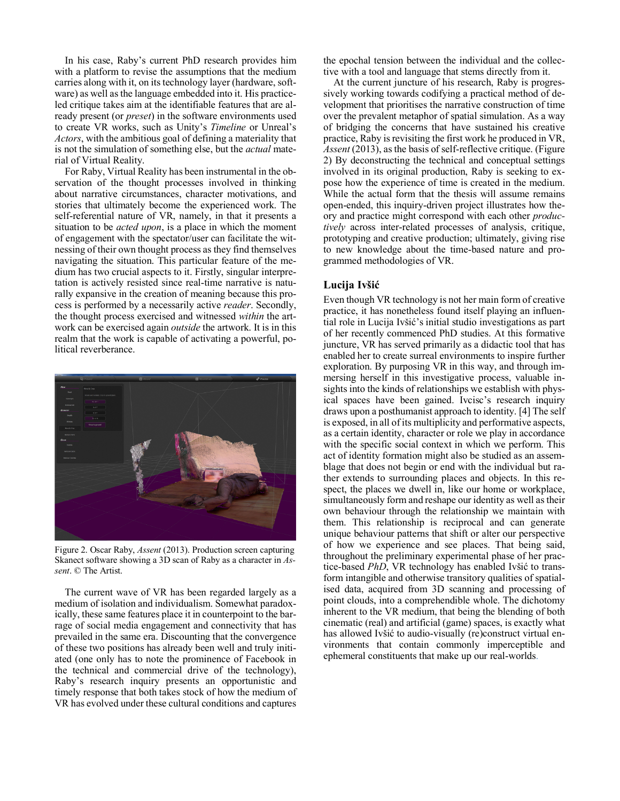In his case, Raby's current PhD research provides him with a platform to revise the assumptions that the medium carries along with it, on its technology layer (hardware, software) as well as the language embedded into it. His practiceled critique takes aim at the identifiable features that are already present (or *preset*) in the software environments used to create VR works, such as Unity's *Timeline* or Unreal's *Actors*, with the ambitious goal of defining a materiality that is not the simulation of something else, but the *actual* material of Virtual Reality.

For Raby, Virtual Reality has been instrumental in the observation of the thought processes involved in thinking about narrative circumstances, character motivations, and stories that ultimately become the experienced work. The self-referential nature of VR, namely, in that it presents a situation to be *acted upon*, is a place in which the moment of engagement with the spectator/user can facilitate the witnessing of their own thought process as they find themselves navigating the situation. This particular feature of the medium has two crucial aspects to it. Firstly, singular interpretation is actively resisted since real-time narrative is naturally expansive in the creation of meaning because this process is performed by a necessarily active *reader*. Secondly, the thought process exercised and witnessed *within* the artwork can be exercised again *outside* the artwork. It is in this realm that the work is capable of activating a powerful, political reverberance.



Figure 2. Oscar Raby, *Assent* (2013). Production screen capturing Skanect software showing a 3D scan of Raby as a character in *Assent*. © The Artist.

The current wave of VR has been regarded largely as a medium of isolation and individualism. Somewhat paradoxically, these same features place it in counterpoint to the barrage of social media engagement and connectivity that has prevailed in the same era. Discounting that the convergence of these two positions has already been well and truly initiated (one only has to note the prominence of Facebook in the technical and commercial drive of the technology), Raby's research inquiry presents an opportunistic and timely response that both takes stock of how the medium of VR has evolved under these cultural conditions and captures the epochal tension between the individual and the collective with a tool and language that stems directly from it.

At the current juncture of his research, Raby is progressively working towards codifying a practical method of development that prioritises the narrative construction of time over the prevalent metaphor of spatial simulation. As a way of bridging the concerns that have sustained his creative practice, Raby is revisiting the first work he produced in VR, *Assent* (2013), as the basis of self-reflective critique. (Figure 2) By deconstructing the technical and conceptual settings involved in its original production, Raby is seeking to expose how the experience of time is created in the medium. While the actual form that the thesis will assume remains open-ended, this inquiry-driven project illustrates how theory and practice might correspond with each other *productively* across inter-related processes of analysis, critique, prototyping and creative production; ultimately, giving rise to new knowledge about the time-based nature and programmed methodologies of VR.

# **Lucija Ivšić**

Even though VR technology is not her main form of creative practice, it has nonetheless found itself playing an influential role in Lucija Ivšić's initial studio investigations as part of her recently commenced PhD studies. At this formative juncture, VR has served primarily as a didactic tool that has enabled her to create surreal environments to inspire further exploration. By purposing VR in this way, and through immersing herself in this investigative process, valuable insights into the kinds of relationships we establish with physical spaces have been gained. Ivcisc's research inquiry draws upon a posthumanist approach to identity. [4] The self is exposed, in all of its multiplicity and performative aspects, as a certain identity, character or role we play in accordance with the specific social context in which we perform. This act of identity formation might also be studied as an assemblage that does not begin or end with the individual but rather extends to surrounding places and objects. In this respect, the places we dwell in, like our home or workplace, simultaneously form and reshape our identity as well as their own behaviour through the relationship we maintain with them. This relationship is reciprocal and can generate unique behaviour patterns that shift or alter our perspective of how we experience and see places. That being said, throughout the preliminary experimental phase of her practice-based *PhD*, VR technology has enabled Ivšić to transform intangible and otherwise transitory qualities of spatialised data, acquired from 3D scanning and processing of point clouds, into a comprehendible whole. The dichotomy inherent to the VR medium, that being the blending of both cinematic (real) and artificial (game) spaces, is exactly what has allowed Ivšić to audio-visually (re)construct virtual environments that contain commonly imperceptible and ephemeral constituents that make up our real-worlds.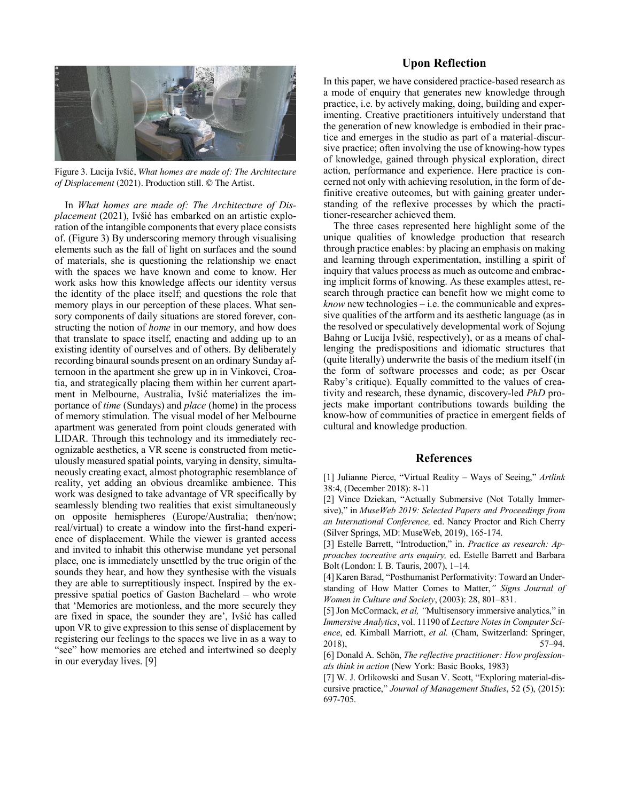

Figure 3. Lucija Ivšić, *What homes are made of: The Architecture of Displacement* (2021). Production still. © The Artist.

In *What homes are made of: The Architecture of Displacement* (2021), Ivšić has embarked on an artistic exploration of the intangible components that every place consists of. (Figure 3) By underscoring memory through visualising elements such as the fall of light on surfaces and the sound of materials, she is questioning the relationship we enact with the spaces we have known and come to know. Her work asks how this knowledge affects our identity versus the identity of the place itself; and questions the role that memory plays in our perception of these places. What sensory components of daily situations are stored forever, constructing the notion of *home* in our memory, and how does that translate to space itself, enacting and adding up to an existing identity of ourselves and of others. By deliberately recording binaural sounds present on an ordinary Sunday afternoon in the apartment she grew up in in Vinkovci, Croatia, and strategically placing them within her current apartment in Melbourne, Australia, Ivšić materializes the importance of *time* (Sundays) and *place* (home) in the process of memory stimulation. The visual model of her Melbourne apartment was generated from point clouds generated with LIDAR. Through this technology and its immediately recognizable aesthetics, a VR scene is constructed from meticulously measured spatial points, varying in density, simultaneously creating exact, almost photographic resemblance of reality, yet adding an obvious dreamlike ambience. This work was designed to take advantage of VR specifically by seamlessly blending two realities that exist simultaneously on opposite hemispheres (Europe/Australia; then/now; real/virtual) to create a window into the first-hand experience of displacement. While the viewer is granted access and invited to inhabit this otherwise mundane yet personal place, one is immediately unsettled by the true origin of the sounds they hear, and how they synthesise with the visuals they are able to surreptitiously inspect. Inspired by the expressive spatial poetics of Gaston Bachelard – who wrote that 'Memories are motionless, and the more securely they are fixed in space, the sounder they are', Ivšić has called upon VR to give expression to this sense of displacement by registering our feelings to the spaces we live in as a way to "see" how memories are etched and intertwined so deeply in our everyday lives. [9]

#### **Upon Reflection**

In this paper, we have considered practice-based research as a mode of enquiry that generates new knowledge through practice, i.e. by actively making, doing, building and experimenting. Creative practitioners intuitively understand that the generation of new knowledge is embodied in their practice and emerges in the studio as part of a material-discursive practice; often involving the use of knowing-how types of knowledge, gained through physical exploration, direct action, performance and experience. Here practice is concerned not only with achieving resolution, in the form of definitive creative outcomes, but with gaining greater understanding of the reflexive processes by which the practitioner-researcher achieved them.

The three cases represented here highlight some of the unique qualities of knowledge production that research through practice enables: by placing an emphasis on making and learning through experimentation, instilling a spirit of inquiry that values process as much as outcome and embracing implicit forms of knowing. As these examples attest, research through practice can benefit how we might come to *know* new technologies – i.e. the communicable and expressive qualities of the artform and its aesthetic language (as in the resolved or speculatively developmental work of Sojung Bahng or Lucija Ivšić, respectively), or as a means of challenging the predispositions and idiomatic structures that (quite literally) underwrite the basis of the medium itself (in the form of software processes and code; as per Oscar Raby's critique). Equally committed to the values of creativity and research, these dynamic, discovery-led *PhD* projects make important contributions towards building the know-how of communities of practice in emergent fields of cultural and knowledge production.

# **References**

[1] Julianne Pierce, "Virtual Reality – Ways of Seeing," *Artlink* 38:4, (December 2018): 8-11

[2] Vince Dziekan, "Actually Submersive (Not Totally Immersive)," in *MuseWeb 2019: Selected Papers and Proceedings from an International Conference,* ed. Nancy Proctor and Rich Cherry (Silver Springs, MD: MuseWeb, 2019), 165-174.

[3] Estelle Barrett, "Introduction," in. *Practice as research: Approaches tocreative arts enquiry,* ed. Estelle Barrett and Barbara Bolt (London: I. B. Tauris, 2007), 1–14.

[4] Karen Barad, "Posthumanist Performativity: Toward an Understanding of How Matter Comes to Matter,*" Signs Journal of Women in Culture and Society*, (2003): 28, 801–831.

[5] Jon McCormack, *et al, "*Multisensory immersive analytics," in *Immersive Analytics*, vol. 11190 of *Lecture Notes in Computer Science*, ed. Kimball Marriott, *et al.* (Cham, Switzerland: Springer, 2018), 57–94.

[6] Donald A. Schön, *The reflective practitioner: How professionals think in action* (New York: Basic Books, 1983)

[7] W. J. Orlikowski and Susan V. Scott, "Exploring material-discursive practice," *Journal of Management Studies*, 52 (5), (2015): 697-705.